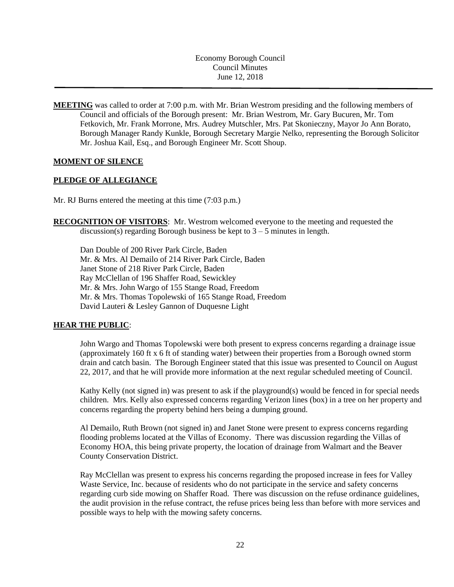Economy Borough Council Council Minutes June 12, 2018

**MEETING** was called to order at 7:00 p.m. with Mr. Brian Westrom presiding and the following members of Council and officials of the Borough present: Mr. Brian Westrom, Mr. Gary Bucuren, Mr. Tom Fetkovich, Mr. Frank Morrone, Mrs. Audrey Mutschler, Mrs. Pat Skonieczny, Mayor Jo Ann Borato, Borough Manager Randy Kunkle, Borough Secretary Margie Nelko, representing the Borough Solicitor Mr. Joshua Kail, Esq., and Borough Engineer Mr. Scott Shoup.

## **MOMENT OF SILENCE**

## **PLEDGE OF ALLEGIANCE**

Mr. RJ Burns entered the meeting at this time (7:03 p.m.)

**RECOGNITION OF VISITORS**: Mr. Westrom welcomed everyone to the meeting and requested the discussion(s) regarding Borough business be kept to  $3 - 5$  minutes in length.

Dan Double of 200 River Park Circle, Baden Mr. & Mrs. Al Demailo of 214 River Park Circle, Baden Janet Stone of 218 River Park Circle, Baden Ray McClellan of 196 Shaffer Road, Sewickley Mr. & Mrs. John Wargo of 155 Stange Road, Freedom Mr. & Mrs. Thomas Topolewski of 165 Stange Road, Freedom David Lauteri & Lesley Gannon of Duquesne Light

### **HEAR THE PUBLIC**:

John Wargo and Thomas Topolewski were both present to express concerns regarding a drainage issue (approximately 160 ft x 6 ft of standing water) between their properties from a Borough owned storm drain and catch basin. The Borough Engineer stated that this issue was presented to Council on August 22, 2017, and that he will provide more information at the next regular scheduled meeting of Council.

Kathy Kelly (not signed in) was present to ask if the playground(s) would be fenced in for special needs children. Mrs. Kelly also expressed concerns regarding Verizon lines (box) in a tree on her property and concerns regarding the property behind hers being a dumping ground.

Al Demailo, Ruth Brown (not signed in) and Janet Stone were present to express concerns regarding flooding problems located at the Villas of Economy. There was discussion regarding the Villas of Economy HOA, this being private property, the location of drainage from Walmart and the Beaver County Conservation District.

Ray McClellan was present to express his concerns regarding the proposed increase in fees for Valley Waste Service, Inc. because of residents who do not participate in the service and safety concerns regarding curb side mowing on Shaffer Road. There was discussion on the refuse ordinance guidelines, the audit provision in the refuse contract, the refuse prices being less than before with more services and possible ways to help with the mowing safety concerns.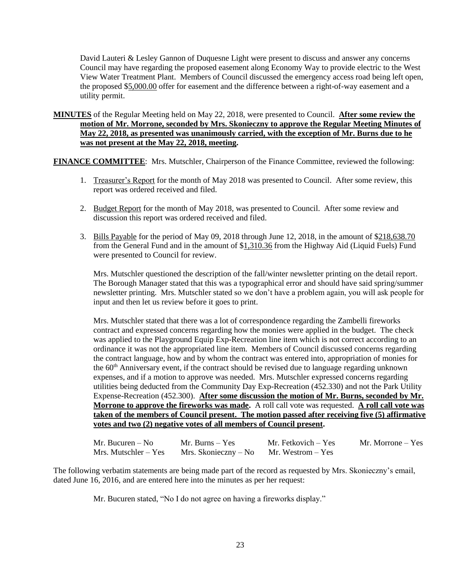David Lauteri & Lesley Gannon of Duquesne Light were present to discuss and answer any concerns Council may have regarding the proposed easement along Economy Way to provide electric to the West View Water Treatment Plant. Members of Council discussed the emergency access road being left open, the proposed \$5,000.00 offer for easement and the difference between a right-of-way easement and a utility permit.

**MINUTES** of the Regular Meeting held on May 22, 2018, were presented to Council. **After some review the motion of Mr. Morrone, seconded by Mrs. Skonieczny to approve the Regular Meeting Minutes of May 22, 2018, as presented was unanimously carried, with the exception of Mr. Burns due to he was not present at the May 22, 2018, meeting.**

**FINANCE COMMITTEE:** Mrs. Mutschler, Chairperson of the Finance Committee, reviewed the following:

- 1. Treasurer's Report for the month of May 2018 was presented to Council. After some review, this report was ordered received and filed.
- 2. Budget Report for the month of May 2018, was presented to Council. After some review and discussion this report was ordered received and filed.
- 3. Bills Payable for the period of May 09, 2018 through June 12, 2018, in the amount of \$218,638.70 from the General Fund and in the amount of \$1,310.36 from the Highway Aid (Liquid Fuels) Fund were presented to Council for review.

Mrs. Mutschler questioned the description of the fall/winter newsletter printing on the detail report. The Borough Manager stated that this was a typographical error and should have said spring/summer newsletter printing. Mrs. Mutschler stated so we don't have a problem again, you will ask people for input and then let us review before it goes to print.

Mrs. Mutschler stated that there was a lot of correspondence regarding the Zambelli fireworks contract and expressed concerns regarding how the monies were applied in the budget. The check was applied to the Playground Equip Exp-Recreation line item which is not correct according to an ordinance it was not the appropriated line item. Members of Council discussed concerns regarding the contract language, how and by whom the contract was entered into, appropriation of monies for the  $60<sup>th</sup>$  Anniversary event, if the contract should be revised due to language regarding unknown expenses, and if a motion to approve was needed. Mrs. Mutschler expressed concerns regarding utilities being deducted from the Community Day Exp-Recreation (452.330) and not the Park Utility Expense-Recreation (452.300). **After some discussion the motion of Mr. Burns, seconded by Mr. Morrone to approve the fireworks was made.** A roll call vote was requested. **A roll call vote was taken of the members of Council present. The motion passed after receiving five (5) affirmative votes and two (2) negative votes of all members of Council present.**

| Mr. Bucuren $-$ No     | Mr. Burns – Yes                        | Mr. Fetkovich – Yes | Mr. Morrone – Yes |
|------------------------|----------------------------------------|---------------------|-------------------|
| $Mrs.$ Mutschler – Yes | Mrs. Skonieczny – No Mr. Westrom – Yes |                     |                   |

The following verbatim statements are being made part of the record as requested by Mrs. Skonieczny's email, dated June 16, 2016, and are entered here into the minutes as per her request:

Mr. Bucuren stated, "No I do not agree on having a fireworks display."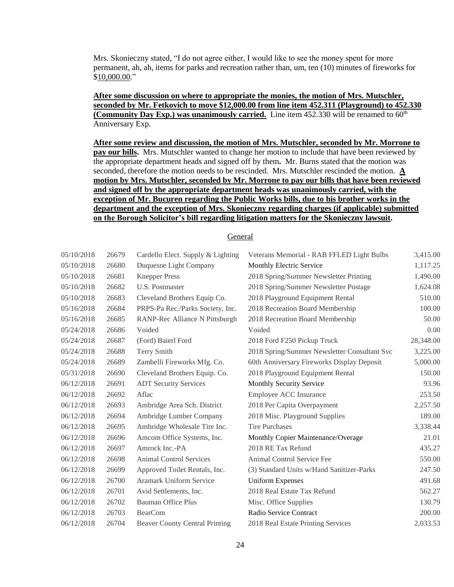Mrs. Skonieczny stated, "I do not agree either, I would like to see the money spent for more permanent, ah, ah, items for parks and recreation rather than, um, ten (10) minutes of fireworks for \$10,000.00."

**After some discussion on where to appropriate the monies, the motion of Mrs. Mutschler, seconded by Mr. Fetkovich to move \$12,000.00 from line item 452.311 (Playground) to 452.330**  (**Community Day Exp.**) was unanimously carried. Line item  $452.330$  will be renamed to  $60<sup>th</sup>$ Anniversary Exp.

**After some review and discussion, the motion of Mrs. Mutschler, seconded by Mr. Morrone to pay our bills.** Mrs. Mutschler wanted to change her motion to include that have been reviewed by the appropriate department heads and signed off by them**.** Mr. Burns stated that the motion was seconded, therefore the motion needs to be rescinded. Mrs. Mutschler rescinded the motion. **A motion by Mrs. Mutschler, seconded by Mr. Morrone to pay our bills that have been reviewed and signed off by the appropriate department heads was unanimously carried, with the exception of Mr. Bucuren regarding the Public Works bills, due to his brother works in the department and the exception of Mrs. Skonieczny regarding charges (if applicable) submitted on the Borough Solicitor's bill regarding litigation matters for the Skonieczny lawsuit.** 

## **General**

| 05/10/2018 | 26679 | Cardello Elect. Supply & Lighting     | Veterans Memorial - RAB FFLED Light Bulbs    | 3,415.00  |
|------------|-------|---------------------------------------|----------------------------------------------|-----------|
| 05/10/2018 | 26680 | Duquesne Light Company                | Monthly Electric Service                     | 1,117.25  |
| 05/10/2018 | 26681 | <b>Knepper Press</b>                  | 2018 Spring/Summer Newsletter Printing       | 1,490.00  |
| 05/10/2018 | 26682 | <b>U.S. Postmaster</b>                | 2018 Spring/Summer Newsletter Postage        | 1,624.08  |
| 05/10/2018 | 26683 | Cleveland Brothers Equip Co.          | 2018 Playground Equipment Rental             | 510.00    |
| 05/16/2018 | 26684 | PRPS-Pa Rec./Parks Society, Inc.      | 2018 Recreation Board Membership             | 100.00    |
| 05/16/2018 | 26685 | RANP-Rec Alliance N Pittsburgh        | 2018 Recreation Board Membership             | 50.00     |
| 05/24/2018 | 26686 | Voided                                | Voided                                       | 0.00      |
| 05/24/2018 | 26687 | (Ford) Baierl Ford                    | 2018 Ford F250 Pickup Truck                  | 28,348.00 |
| 05/24/2018 | 26688 | Terry Smith                           | 2018 Spring/Summer Newsletter Consultant Svc | 3,225.00  |
| 05/24/2018 | 26689 | Zambelli Fireworks Mfg. Co.           | 60th Anniversary Fireworks Display Deposit   | 5,000.00  |
| 05/31/2018 | 26690 | Cleveland Brothers Equip. Co.         | 2018 Playground Equipment Rental             | 150.00    |
| 06/12/2018 | 26691 | <b>ADT Security Services</b>          | Monthly Security Service                     | 93.96     |
| 06/12/2018 | 26692 | Aflac                                 | Employee ACC Insurance                       | 253.50    |
| 06/12/2018 | 26693 | Ambridge Area Sch. District           | 2018 Per Capita Overpayment                  | 2,257.50  |
| 06/12/2018 | 26694 | Ambridge Lumber Company               | 2018 Misc. Playground Supplies               | 189.00    |
| 06/12/2018 | 26695 | Ambridge Wholesale Tire Inc.          | <b>Tire Purchases</b>                        | 3,338.44  |
| 06/12/2018 | 26696 | Amcom Office Systems, Inc.            | Monthly Copier Maintenance/Overage           | 21.01     |
| 06/12/2018 | 26697 | Amrock Inc.-PA                        | 2018 RE Tax Refund                           | 435.27    |
| 06/12/2018 | 26698 | <b>Animal Control Services</b>        | Animal Control Service Fee                   | 550.00    |
| 06/12/2018 | 26699 | Approved Toilet Rentals, Inc.         | (3) Standard Units w/Hand Sanitizer-Parks    | 247.50    |
| 06/12/2018 | 26700 | <b>Aramark Uniform Service</b>        | <b>Uniform Expenses</b>                      | 491.68    |
| 06/12/2018 | 26701 | Avid Settlements, Inc.                | 2018 Real Estate Tax Refund                  | 562.27    |
| 06/12/2018 | 26702 | <b>Bauman Office Plus</b>             | Misc. Office Supplies                        | 130.79    |
| 06/12/2018 | 26703 | <b>BearCom</b>                        | Radio Service Contract                       | 200.00    |
| 06/12/2018 | 26704 | <b>Beaver County Central Printing</b> | 2018 Real Estate Printing Services           | 2,033.53  |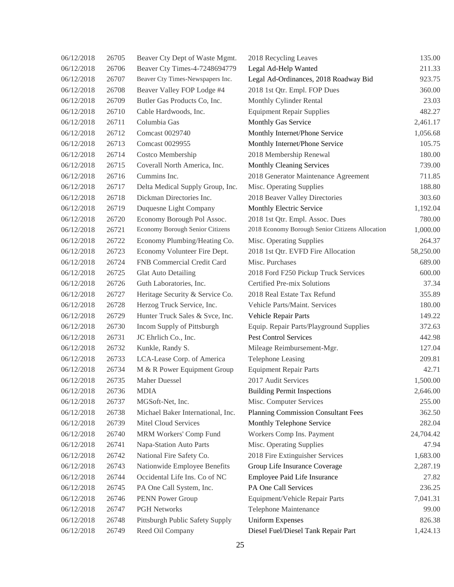| 06/12/2018 | 26705 | Beaver Cty Dept of Waste Mgmt.    | 2018 Recycling Leaves                           | 135.00    |
|------------|-------|-----------------------------------|-------------------------------------------------|-----------|
| 06/12/2018 | 26706 | Beaver Cty Times-4-7248694779     | Legal Ad-Help Wanted                            | 211.33    |
| 06/12/2018 | 26707 | Beaver Cty Times-Newspapers Inc.  | Legal Ad-Ordinances, 2018 Roadway Bid           | 923.75    |
| 06/12/2018 | 26708 | Beaver Valley FOP Lodge #4        | 2018 1st Qtr. Empl. FOP Dues                    | 360.00    |
| 06/12/2018 | 26709 | Butler Gas Products Co, Inc.      | Monthly Cylinder Rental                         | 23.03     |
| 06/12/2018 | 26710 | Cable Hardwoods, Inc.             | <b>Equipment Repair Supplies</b>                | 482.27    |
| 06/12/2018 | 26711 | Columbia Gas                      | Monthly Gas Service                             | 2,461.17  |
| 06/12/2018 | 26712 | Comcast 0029740                   | Monthly Internet/Phone Service                  | 1,056.68  |
| 06/12/2018 | 26713 | Comcast 0029955                   | Monthly Internet/Phone Service                  | 105.75    |
| 06/12/2018 | 26714 | Costco Membership                 | 2018 Membership Renewal                         | 180.00    |
| 06/12/2018 | 26715 | Coverall North America, Inc.      | Monthly Cleaning Services                       | 739.00    |
| 06/12/2018 | 26716 | Cummins Inc.                      | 2018 Generator Maintenance Agreement            | 711.85    |
| 06/12/2018 | 26717 | Delta Medical Supply Group, Inc.  | Misc. Operating Supplies                        | 188.80    |
| 06/12/2018 | 26718 | Dickman Directories Inc.          | 2018 Beaver Valley Directories                  | 303.60    |
| 06/12/2018 | 26719 | Duquesne Light Company            | Monthly Electric Service                        | 1,192.04  |
| 06/12/2018 | 26720 | Economy Borough Pol Assoc.        | 2018 1st Qtr. Empl. Assoc. Dues                 | 780.00    |
| 06/12/2018 | 26721 | Economy Borough Senior Citizens   | 2018 Economy Borough Senior Citizens Allocation | 1,000.00  |
| 06/12/2018 | 26722 | Economy Plumbing/Heating Co.      | Misc. Operating Supplies                        | 264.37    |
| 06/12/2018 | 26723 | Economy Volunteer Fire Dept.      | 2018 1st Qtr. EVFD Fire Allocation              | 58,250.00 |
| 06/12/2018 | 26724 | FNB Commercial Credit Card        | Misc. Purchases                                 | 689.00    |
| 06/12/2018 | 26725 | <b>Glat Auto Detailing</b>        | 2018 Ford F250 Pickup Truck Services            | 600.00    |
| 06/12/2018 | 26726 | Guth Laboratories, Inc.           | Certified Pre-mix Solutions                     | 37.34     |
| 06/12/2018 | 26727 | Heritage Security & Service Co.   | 2018 Real Estate Tax Refund                     | 355.89    |
| 06/12/2018 | 26728 | Herzog Truck Service, Inc.        | Vehicle Parts/Maint. Services                   | 180.00    |
| 06/12/2018 | 26729 | Hunter Truck Sales & Svce, Inc.   | Vehicle Repair Parts                            | 149.22    |
| 06/12/2018 | 26730 | Incom Supply of Pittsburgh        | Equip. Repair Parts/Playground Supplies         | 372.63    |
| 06/12/2018 | 26731 | JC Ehrlich Co., Inc.              | Pest Control Services                           | 442.98    |
| 06/12/2018 | 26732 | Kunkle, Randy S.                  | Mileage Reimbursement-Mgr.                      | 127.04    |
| 06/12/2018 | 26733 | LCA-Lease Corp. of America        | Telephone Leasing                               | 209.81    |
| 06/12/2018 | 26734 | M & R Power Equipment Group       | <b>Equipment Repair Parts</b>                   | 42.71     |
| 06/12/2018 | 26735 | Maher Duessel                     | 2017 Audit Services                             | 1,500.00  |
| 06/12/2018 | 26736 | <b>MDIA</b>                       | <b>Building Permit Inspections</b>              | 2,646.00  |
| 06/12/2018 | 26737 | MGSoft-Net, Inc.                  | Misc. Computer Services                         | 255.00    |
| 06/12/2018 | 26738 | Michael Baker International, Inc. | Planning Commission Consultant Fees             | 362.50    |
| 06/12/2018 | 26739 | <b>Mitel Cloud Services</b>       | Monthly Telephone Service                       | 282.04    |
| 06/12/2018 | 26740 | MRM Workers' Comp Fund            | Workers Comp Ins. Payment                       | 24,704.42 |
| 06/12/2018 | 26741 | Napa-Station Auto Parts           | Misc. Operating Supplies                        | 47.94     |
| 06/12/2018 | 26742 | National Fire Safety Co.          | 2018 Fire Extinguisher Services                 | 1,683.00  |
| 06/12/2018 | 26743 | Nationwide Employee Benefits      | Group Life Insurance Coverage                   | 2,287.19  |
| 06/12/2018 | 26744 | Occidental Life Ins. Co of NC     | Employee Paid Life Insurance                    | 27.82     |
| 06/12/2018 | 26745 | PA One Call System, Inc.          | PA One Call Services                            | 236.25    |
| 06/12/2018 | 26746 | PENN Power Group                  | Equipment/Vehicle Repair Parts                  | 7,041.31  |
| 06/12/2018 | 26747 | <b>PGH Networks</b>               | Telephone Maintenance                           | 99.00     |
| 06/12/2018 | 26748 | Pittsburgh Public Safety Supply   | <b>Uniform Expenses</b>                         | 826.38    |
| 06/12/2018 | 26749 | Reed Oil Company                  | Diesel Fuel/Diesel Tank Repair Part             | 1,424.13  |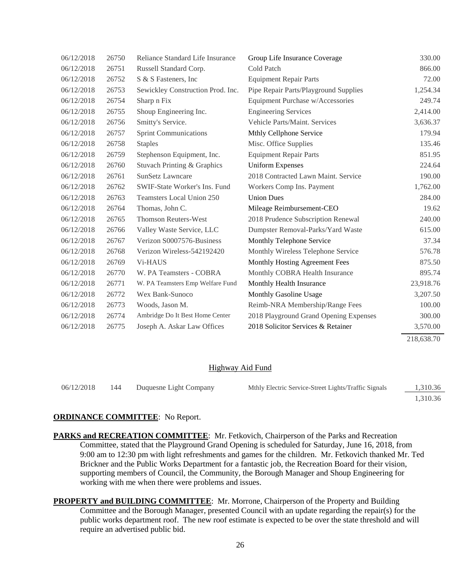| 06/12/2018 | 26750 | Reliance Standard Life Insurance  | Group Life Insurance Coverage          | 330.00     |
|------------|-------|-----------------------------------|----------------------------------------|------------|
| 06/12/2018 | 26751 | Russell Standard Corp.            | Cold Patch                             | 866.00     |
| 06/12/2018 | 26752 | S & S Fasteners, Inc.             | <b>Equipment Repair Parts</b>          | 72.00      |
| 06/12/2018 | 26753 | Sewickley Construction Prod. Inc. | Pipe Repair Parts/Playground Supplies  | 1,254.34   |
| 06/12/2018 | 26754 | Sharp n Fix                       | Equipment Purchase w/Accessories       | 249.74     |
| 06/12/2018 | 26755 | Shoup Engineering Inc.            | <b>Engineering Services</b>            | 2,414.00   |
| 06/12/2018 | 26756 | Smitty's Service.                 | Vehicle Parts/Maint. Services          | 3,636.37   |
| 06/12/2018 | 26757 | <b>Sprint Communications</b>      | Mthly Cellphone Service                | 179.94     |
| 06/12/2018 | 26758 | <b>Staples</b>                    | Misc. Office Supplies                  | 135.46     |
| 06/12/2018 | 26759 | Stephenson Equipment, Inc.        | <b>Equipment Repair Parts</b>          | 851.95     |
| 06/12/2018 | 26760 | Stuvach Printing & Graphics       | <b>Uniform Expenses</b>                | 224.64     |
| 06/12/2018 | 26761 | <b>SunSetz Lawncare</b>           | 2018 Contracted Lawn Maint. Service    | 190.00     |
| 06/12/2018 | 26762 | SWIF-State Worker's Ins. Fund     | Workers Comp Ins. Payment              | 1,762.00   |
| 06/12/2018 | 26763 | Teamsters Local Union 250         | <b>Union Dues</b>                      | 284.00     |
| 06/12/2018 | 26764 | Thomas, John C.                   | Mileage Reimbursement-CEO              | 19.62      |
| 06/12/2018 | 26765 | <b>Thomson Reuters-West</b>       | 2018 Prudence Subscription Renewal     | 240.00     |
| 06/12/2018 | 26766 | Valley Waste Service, LLC         | Dumpster Removal-Parks/Yard Waste      | 615.00     |
| 06/12/2018 | 26767 | Verizon S0007576-Business         | Monthly Telephone Service              | 37.34      |
| 06/12/2018 | 26768 | Verizon Wireless-542192420        | Monthly Wireless Telephone Service     | 576.78     |
| 06/12/2018 | 26769 | V <sub>i</sub> -HAUS              | Monthly Hosting Agreement Fees         | 875.50     |
| 06/12/2018 | 26770 | W. PA Teamsters - COBRA           | Monthly COBRA Health Insurance         | 895.74     |
| 06/12/2018 | 26771 | W. PA Teamsters Emp Welfare Fund  | Monthly Health Insurance               | 23,918.76  |
| 06/12/2018 | 26772 | Wex Bank-Sunoco                   | Monthly Gasoline Usage                 | 3,207.50   |
| 06/12/2018 | 26773 | Woods, Jason M.                   | Reimb-NRA Membership/Range Fees        | 100.00     |
| 06/12/2018 | 26774 | Ambridge Do It Best Home Center   | 2018 Playground Grand Opening Expenses | 300.00     |
| 06/12/2018 | 26775 | Joseph A. Askar Law Offices       | 2018 Solicitor Services & Retainer     | 3,570.00   |
|            |       |                                   |                                        | 218.638.70 |

#### Highway Aid Fund

| 06/12/2018 | 144 | Duquesne Light Company | Mthly Electric Service-Street Lights/Traffic Signals | 1.310.36 |
|------------|-----|------------------------|------------------------------------------------------|----------|
|            |     |                        |                                                      | 1.310.36 |

#### **ORDINANCE COMMITTEE**: No Report.

**PARKS and RECREATION COMMITTEE**: Mr. Fetkovich, Chairperson of the Parks and Recreation Committee, stated that the Playground Grand Opening is scheduled for Saturday, June 16, 2018, from 9:00 am to 12:30 pm with light refreshments and games for the children. Mr. Fetkovich thanked Mr. Ted Brickner and the Public Works Department for a fantastic job, the Recreation Board for their vision, supporting members of Council, the Community, the Borough Manager and Shoup Engineering for working with me when there were problems and issues.

**PROPERTY and BUILDING COMMITTEE**: Mr. Morrone, Chairperson of the Property and Building Committee and the Borough Manager, presented Council with an update regarding the repair(s) for the public works department roof. The new roof estimate is expected to be over the state threshold and will require an advertised public bid.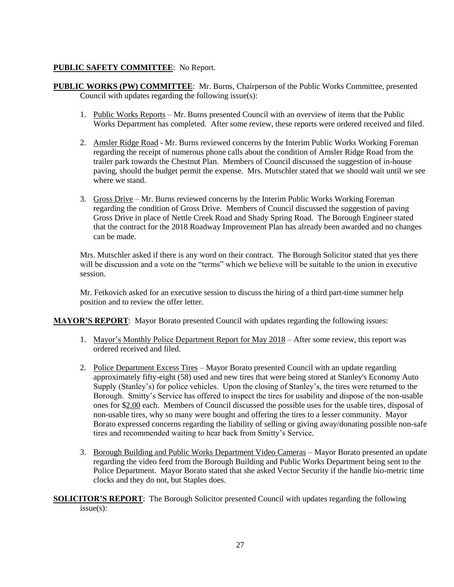# **PUBLIC SAFETY COMMITTEE**: No Report.

- **PUBLIC WORKS (PW) COMMITTEE**: Mr. Burns, Chairperson of the Public Works Committee, presented Council with updates regarding the following issue(s):
	- 1. Public Works Reports Mr. Burns presented Council with an overview of items that the Public Works Department has completed. After some review, these reports were ordered received and filed.
	- 2. Amsler Ridge Road Mr. Burns reviewed concerns by the Interim Public Works Working Foreman regarding the receipt of numerous phone calls about the condition of Amsler Ridge Road from the trailer park towards the Chestnut Plan. Members of Council discussed the suggestion of in-house paving, should the budget permit the expense. Mrs. Mutschler stated that we should wait until we see where we stand.
	- 3. Gross Drive Mr. Burns reviewed concerns by the Interim Public Works Working Foreman regarding the condition of Gross Drive. Members of Council discussed the suggestion of paving Gross Drive in place of Nettle Creek Road and Shady Spring Road. The Borough Engineer stated that the contract for the 2018 Roadway Improvement Plan has already been awarded and no changes can be made.

Mrs. Mutschler asked if there is any word on their contract. The Borough Solicitor stated that yes there will be discussion and a vote on the "terms" which we believe will be suitable to the union in executive session.

Mr. Fetkovich asked for an executive session to discuss the hiring of a third part-time summer help position and to review the offer letter.

**MAYOR'S REPORT**: Mayor Borato presented Council with updates regarding the following issues:

- 1. Mayor's Monthly Police Department Report for May 2018 After some review, this report was ordered received and filed.
- 2. Police Department Excess Tires Mayor Borato presented Council with an update regarding approximately fifty-eight (58) used and new tires that were being stored at Stanley's Economy Auto Supply (Stanley's) for police vehicles. Upon the closing of Stanley's, the tires were returned to the Borough. Smitty's Service has offered to inspect the tires for usability and dispose of the non-usable ones for \$2.00 each. Members of Council discussed the possible uses for the usable tires, disposal of non-usable tires, why so many were bought and offering the tires to a lesser community. Mayor Borato expressed concerns regarding the liability of selling or giving away/donating possible non-safe tires and recommended waiting to hear back from Smitty's Service.
- 3. Borough Building and Public Works Department Video Cameras Mayor Borato presented an update regarding the video feed from the Borough Building and Public Works Department being sent to the Police Department. Mayor Borato stated that she asked Vector Security if the handle bio-metric time clocks and they do not, but Staples does.

**SOLICITOR'S REPORT**: The Borough Solicitor presented Council with updates regarding the following issue(s):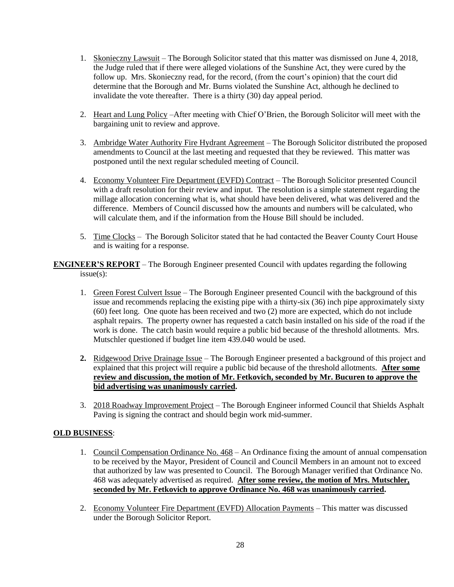- 1. Skonieczny Lawsuit The Borough Solicitor stated that this matter was dismissed on June 4, 2018, the Judge ruled that if there were alleged violations of the Sunshine Act, they were cured by the follow up. Mrs. Skonieczny read, for the record, (from the court's opinion) that the court did determine that the Borough and Mr. Burns violated the Sunshine Act, although he declined to invalidate the vote thereafter. There is a thirty (30) day appeal period.
- 2. Heart and Lung Policy –After meeting with Chief O'Brien, the Borough Solicitor will meet with the bargaining unit to review and approve.
- 3. Ambridge Water Authority Fire Hydrant Agreement The Borough Solicitor distributed the proposed amendments to Council at the last meeting and requested that they be reviewed. This matter was postponed until the next regular scheduled meeting of Council.
- 4. Economy Volunteer Fire Department (EVFD) Contract The Borough Solicitor presented Council with a draft resolution for their review and input. The resolution is a simple statement regarding the millage allocation concerning what is, what should have been delivered, what was delivered and the difference. Members of Council discussed how the amounts and numbers will be calculated, who will calculate them, and if the information from the House Bill should be included.
- 5. Time Clocks The Borough Solicitor stated that he had contacted the Beaver County Court House and is waiting for a response.

**ENGINEER'S REPORT** – The Borough Engineer presented Council with updates regarding the following issue(s):

- 1. Green Forest Culvert Issue The Borough Engineer presented Council with the background of this issue and recommends replacing the existing pipe with a thirty-six (36) inch pipe approximately sixty (60) feet long. One quote has been received and two (2) more are expected, which do not include asphalt repairs. The property owner has requested a catch basin installed on his side of the road if the work is done. The catch basin would require a public bid because of the threshold allotments. Mrs. Mutschler questioned if budget line item 439.040 would be used.
- **2.** Ridgewood Drive Drainage Issue The Borough Engineer presented a background of this project and explained that this project will require a public bid because of the threshold allotments. **After some review and discussion, the motion of Mr. Fetkovich, seconded by Mr. Bucuren to approve the bid advertising was unanimously carried.**
- 3. 2018 Roadway Improvement Project The Borough Engineer informed Council that Shields Asphalt Paving is signing the contract and should begin work mid-summer.

## **OLD BUSINESS**:

- 1. Council Compensation Ordinance No. 468 An Ordinance fixing the amount of annual compensation to be received by the Mayor, President of Council and Council Members in an amount not to exceed that authorized by law was presented to Council. The Borough Manager verified that Ordinance No. 468 was adequately advertised as required. **After some review, the motion of Mrs. Mutschler, seconded by Mr. Fetkovich to approve Ordinance No. 468 was unanimously carried.**
- 2. Economy Volunteer Fire Department (EVFD) Allocation Payments This matter was discussed under the Borough Solicitor Report.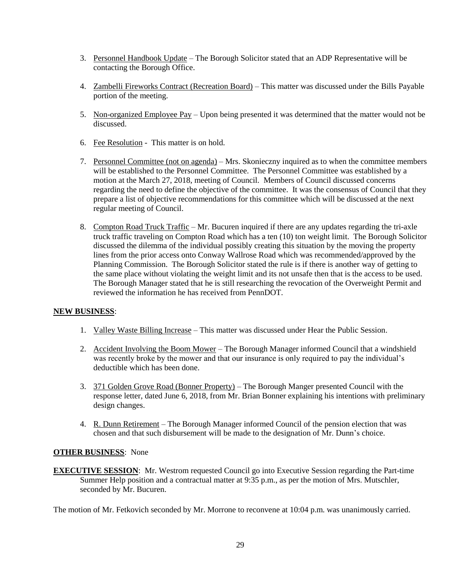- 3. Personnel Handbook Update The Borough Solicitor stated that an ADP Representative will be contacting the Borough Office.
- 4. Zambelli Fireworks Contract (Recreation Board) This matter was discussed under the Bills Payable portion of the meeting.
- 5. Non-organized Employee Pay Upon being presented it was determined that the matter would not be discussed.
- 6. Fee Resolution This matter is on hold.
- 7. Personnel Committee (not on agenda) Mrs. Skonieczny inquired as to when the committee members will be established to the Personnel Committee. The Personnel Committee was established by a motion at the March 27, 2018, meeting of Council. Members of Council discussed concerns regarding the need to define the objective of the committee. It was the consensus of Council that they prepare a list of objective recommendations for this committee which will be discussed at the next regular meeting of Council.
- 8. Compton Road Truck Traffic Mr. Bucuren inquired if there are any updates regarding the tri-axle truck traffic traveling on Compton Road which has a ten (10) ton weight limit. The Borough Solicitor discussed the dilemma of the individual possibly creating this situation by the moving the property lines from the prior access onto Conway Wallrose Road which was recommended/approved by the Planning Commission. The Borough Solicitor stated the rule is if there is another way of getting to the same place without violating the weight limit and its not unsafe then that is the access to be used. The Borough Manager stated that he is still researching the revocation of the Overweight Permit and reviewed the information he has received from PennDOT.

## **NEW BUSINESS**:

- 1. Valley Waste Billing Increase This matter was discussed under Hear the Public Session.
- 2. Accident Involving the Boom Mower The Borough Manager informed Council that a windshield was recently broke by the mower and that our insurance is only required to pay the individual's deductible which has been done.
- 3. 371 Golden Grove Road (Bonner Property) The Borough Manger presented Council with the response letter, dated June 6, 2018, from Mr. Brian Bonner explaining his intentions with preliminary design changes.
- 4. R. Dunn Retirement The Borough Manager informed Council of the pension election that was chosen and that such disbursement will be made to the designation of Mr. Dunn's choice.

## **OTHER BUSINESS**: None

**EXECUTIVE SESSION:** Mr. Westrom requested Council go into Executive Session regarding the Part-time Summer Help position and a contractual matter at 9:35 p.m., as per the motion of Mrs. Mutschler, seconded by Mr. Bucuren.

The motion of Mr. Fetkovich seconded by Mr. Morrone to reconvene at 10:04 p.m. was unanimously carried.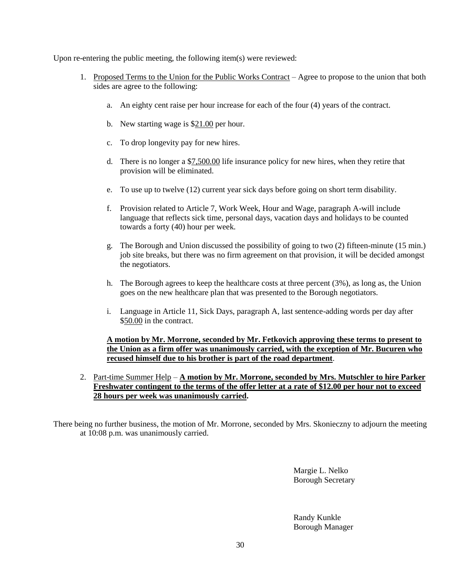Upon re-entering the public meeting, the following item(s) were reviewed:

- 1. Proposed Terms to the Union for the Public Works Contract Agree to propose to the union that both sides are agree to the following:
	- a. An eighty cent raise per hour increase for each of the four (4) years of the contract.
	- b. New starting wage is \$21.00 per hour.
	- c. To drop longevity pay for new hires.
	- d. There is no longer a \$7,500.00 life insurance policy for new hires, when they retire that provision will be eliminated.
	- e. To use up to twelve (12) current year sick days before going on short term disability.
	- f. Provision related to Article 7, Work Week, Hour and Wage, paragraph A-will include language that reflects sick time, personal days, vacation days and holidays to be counted towards a forty (40) hour per week.
	- g. The Borough and Union discussed the possibility of going to two (2) fifteen-minute (15 min.) job site breaks, but there was no firm agreement on that provision, it will be decided amongst the negotiators.
	- h. The Borough agrees to keep the healthcare costs at three percent (3%), as long as, the Union goes on the new healthcare plan that was presented to the Borough negotiators.
	- i. Language in Article 11, Sick Days, paragraph A, last sentence-adding words per day after \$50.00 in the contract.

**A motion by Mr. Morrone, seconded by Mr. Fetkovich approving these terms to present to the Union as a firm offer was unanimously carried, with the exception of Mr. Bucuren who recused himself due to his brother is part of the road department**.

2. Part-time Summer Help – **A motion by Mr. Morrone, seconded by Mrs. Mutschler to hire Parker Freshwater contingent to the terms of the offer letter at a rate of \$12.00 per hour not to exceed 28 hours per week was unanimously carried.**

There being no further business, the motion of Mr. Morrone, seconded by Mrs. Skonieczny to adjourn the meeting at 10:08 p.m. was unanimously carried.

> Margie L. Nelko Borough Secretary

Randy Kunkle Borough Manager